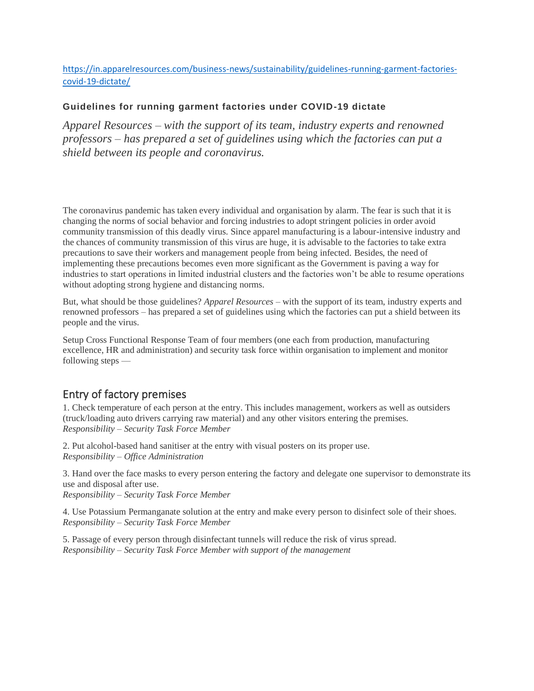#### [https://in.apparelresources.com/business-news/sustainability/guidelines-running-garment-factories](https://in.apparelresources.com/business-news/sustainability/guidelines-running-garment-factories-covid-19-dictate/)[covid-19-dictate/](https://in.apparelresources.com/business-news/sustainability/guidelines-running-garment-factories-covid-19-dictate/)

#### **Guidelines for running garment factories under COVID-19 dictate**

*Apparel Resources – with the support of its team, industry experts and renowned professors – has prepared a set of guidelines using which the factories can put a shield between its people and coronavirus.*

The coronavirus pandemic has taken every individual and organisation by alarm. The fear is such that it is changing the norms of social behavior and forcing industries to adopt stringent policies in order avoid community transmission of this deadly virus. Since apparel manufacturing is a labour-intensive industry and the chances of community transmission of this virus are huge, it is advisable to the factories to take extra precautions to save their workers and management people from being infected. Besides, the need of implementing these precautions becomes even more significant as the Government is paving a way for industries to start operations in limited industrial clusters and the factories won't be able to resume operations without adopting strong hygiene and distancing norms.

But, what should be those guidelines? *Apparel Resources* – with the support of its team, industry experts and renowned professors – has prepared a set of guidelines using which the factories can put a shield between its people and the virus.

Setup Cross Functional Response Team of four members (one each from production, manufacturing excellence, HR and administration) and security task force within organisation to implement and monitor following steps —

## Entry of factory premises

1. Check temperature of each person at the entry. This includes management, workers as well as outsiders (truck/loading auto drivers carrying raw material) and any other visitors entering the premises. *Responsibility – Security Task Force Member*

2. Put alcohol-based hand sanitiser at the entry with visual posters on its proper use. *Responsibility – Office Administration*

3. Hand over the face masks to every person entering the factory and delegate one supervisor to demonstrate its use and disposal after use.

*Responsibility – Security Task Force Member*

4. Use Potassium Permanganate solution at the entry and make every person to disinfect sole of their shoes. *Responsibility – Security Task Force Member*

5. Passage of every person through disinfectant tunnels will reduce the risk of virus spread. *Responsibility – Security Task Force Member with support of the management*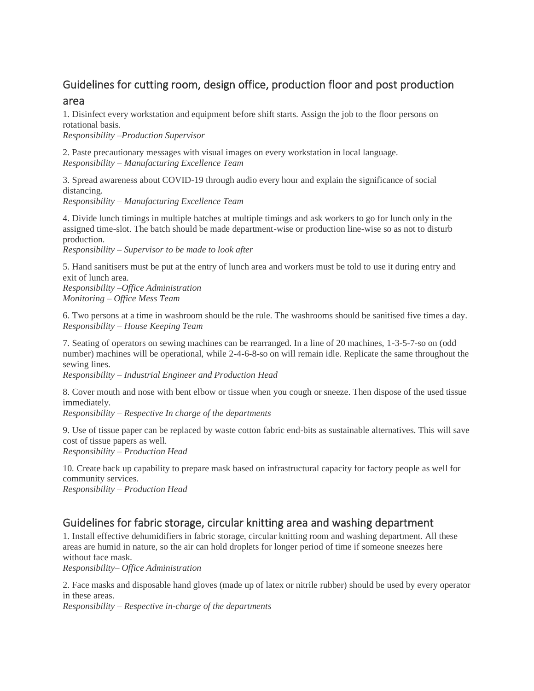# Guidelines for cutting room, design office, production floor and post production

#### area

1. Disinfect every workstation and equipment before shift starts. Assign the job to the floor persons on rotational basis.

*Responsibility –Production Supervisor*

2. Paste precautionary messages with visual images on every workstation in local language. *Responsibility – Manufacturing Excellence Team*

3. Spread awareness about COVID-19 through audio every hour and explain the significance of social distancing.

*Responsibility – Manufacturing Excellence Team*

4. Divide lunch timings in multiple batches at multiple timings and ask workers to go for lunch only in the assigned time-slot. The batch should be made department-wise or production line-wise so as not to disturb production.

*Responsibility – Supervisor to be made to look after*

5. Hand sanitisers must be put at the entry of lunch area and workers must be told to use it during entry and exit of lunch area.

*Responsibility –Office Administration Monitoring – Office Mess Team*

6. Two persons at a time in washroom should be the rule. The washrooms should be sanitised five times a day. *Responsibility – House Keeping Team*

7. Seating of operators on sewing machines can be rearranged. In a line of 20 machines, 1-3-5-7-so on (odd number) machines will be operational, while 2-4-6-8-so on will remain idle. Replicate the same throughout the sewing lines.

*Responsibility – Industrial Engineer and Production Head*

8. Cover mouth and nose with bent elbow or tissue when you cough or sneeze. Then dispose of the used tissue immediately.

*Responsibility – Respective In charge of the departments*

9. Use of tissue paper can be replaced by waste cotton fabric end-bits as sustainable alternatives. This will save cost of tissue papers as well. *Responsibility – Production Head*

10*.* Create back up capability to prepare mask based on infrastructural capacity for factory people as well for community services.

*Responsibility – Production Head*

# Guidelines for fabric storage, circular knitting area and washing department

1. Install effective dehumidifiers in fabric storage, circular knitting room and washing department. All these areas are humid in nature, so the air can hold droplets for longer period of time if someone sneezes here without face mask.

*Responsibility– Office Administration*

2. Face masks and disposable hand gloves (made up of latex or nitrile rubber) should be used by every operator in these areas.

*Responsibility – Respective in-charge of the departments*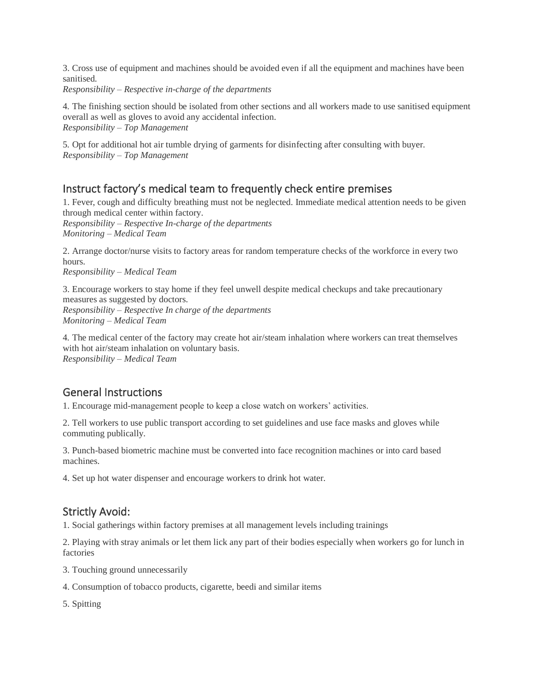3. Cross use of equipment and machines should be avoided even if all the equipment and machines have been sanitised.

*Responsibility – Respective in-charge of the departments*

4*.* The finishing section should be isolated from other sections and all workers made to use sanitised equipment overall as well as gloves to avoid any accidental infection. *Responsibility – Top Management*

5*.* Opt for additional hot air tumble drying of garments for disinfecting after consulting with buyer. *Responsibility – Top Management*

## Instruct factory's medical team to frequently check entire premises

1. Fever, cough and difficulty breathing must not be neglected. Immediate medical attention needs to be given through medical center within factory.

*Responsibility – Respective In-charge of the departments Monitoring – Medical Team*

2. Arrange doctor/nurse visits to factory areas for random temperature checks of the workforce in every two hours. *Responsibility – Medical Team*

3. Encourage workers to stay home if they feel unwell despite medical checkups and take precautionary measures as suggested by doctors. *Responsibility – Respective In charge of the departments Monitoring – Medical Team*

4*.* The medical center of the factory may create hot air/steam inhalation where workers can treat themselves with hot air/steam inhalation on voluntary basis. *Responsibility – Medical Team*

# General Instructions

1. Encourage mid-management people to keep a close watch on workers' activities.

2. Tell workers to use public transport according to set guidelines and use face masks and gloves while commuting publically.

3. Punch-based biometric machine must be converted into face recognition machines or into card based machines.

4. Set up hot water dispenser and encourage workers to drink hot water.

## Strictly Avoid:

1. Social gatherings within factory premises at all management levels including trainings

2. Playing with stray animals or let them lick any part of their bodies especially when workers go for lunch in factories

- 3. Touching ground unnecessarily
- 4. Consumption of tobacco products, cigarette, beedi and similar items
- 5. Spitting